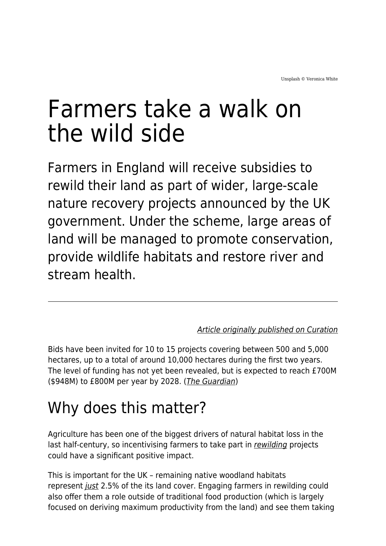# Farmers take a walk on the wild side

Farmers in England will receive subsidies to rewild their land as part of wider, large-scale nature recovery projects announced by the UK government. Under the scheme, large areas of land will be managed to promote conservation, provide wildlife habitats and restore river and stream health.

#### [Article originally published on Curation](https://curationcorp.com/blog/farmers-take-a-walk-on-the-wild-side/)

Bids have been invited for 10 to 15 projects covering between 500 and 5,000 hectares, up to a total of around 10,000 hectares during the first two years. The level of funding has not yet been revealed, but is expected to reach £700M (\$948M) to £800M per year by 2028. ([The Guardian](https://www.theguardian.com/environment/2022/jan/06/englands-farmers-to-be-paid-to-rewild-land))

### Why does this matter?

Agriculture has been one of the biggest drivers of natural habitat loss in the last half-century, so incentivising farmers to take part in [rewilding](https://www.maddyness.com/uk/2021/05/06/the-former-ceo-of-patagonia-is-rewilding-15m-hectares-of-land/) projects could have a significant positive impact.

This is important for the UK – remaining native woodland habitats represent *[just](https://www.rewildingbritain.org.uk/explore-rewilding/what-is-rewilding/why-we-need-rewilding)* 2.5% of the its land cover. Engaging farmers in rewilding could also offer them a role outside of traditional food production (which is largely focused on deriving maximum productivity from the land) and see them taking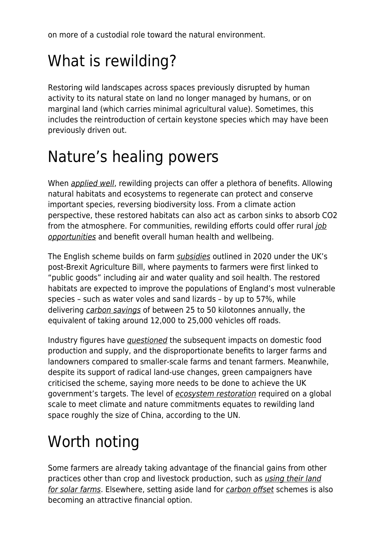on more of a custodial role toward the natural environment.

# What is rewilding?

Restoring wild landscapes across spaces previously disrupted by human activity to its natural state on land no longer managed by humans, or on marginal land (which carries minimal agricultural value). Sometimes, this includes the reintroduction of certain keystone species which may have been previously driven out.

## Nature's healing powers

When [applied well](https://app.curationcorp.com/story/54EF5F6A-37BF-4152-9D79-897D201CCE01), rewilding projects can offer a plethora of benefits. Allowing natural habitats and ecosystems to regenerate can protect and conserve important species, reversing biodiversity loss. From a climate action perspective, these restored habitats can also act as carbon sinks to absorb CO2 from the atmosphere. For communities, rewilding efforts could offer rural [job](https://app.curationcorp.com/story/F5FB5A62-77BD-4ECC-AEA8-DBF588195A88) [opportunities](https://app.curationcorp.com/story/F5FB5A62-77BD-4ECC-AEA8-DBF588195A88) and benefit overall human health and wellbeing.

The English scheme builds on farm [subsidies](https://app.curationcorp.com/story/90B310BE-2FB2-42D7-B990-D1063320DE13) outlined in 2020 under the UK's post-Brexit Agriculture Bill, where payments to farmers were first linked to "public goods" including air and water quality and soil health. The restored habitats are expected to improve the populations of England's most vulnerable species – such as water voles and sand lizards – by up to 57%, while delivering [carbon savings](https://www.gov.uk/government/news/government-unveils-plans-to-restore-300000-hectares-of-habitat-across-england) of between 25 to 50 kilotonnes annually, the equivalent of taking around 12,000 to 25,000 vehicles off roads.

Industry figures have *[questioned](https://www.telegraph.co.uk/politics/2022/01/01/farmers-get-funds-restore-natural-habitats-rewild-britain-new/)* the subsequent impacts on domestic food production and supply, and the disproportionate benefits to larger farms and landowners compared to smaller-scale farms and tenant farmers. Meanwhile, despite its support of radical land-use changes, green campaigners have criticised the scheme, saying more needs to be done to achieve the UK government's targets. The level of [ecosystem restoration](https://www.theguardian.com/environment/2021/jun/03/rewild-on-massive-scale-to-heal-nature-and-climate-says-un-decade-on-ecosystem-restoration-aoe) required on a global scale to meet climate and nature commitments equates to rewilding land space roughly the size of China, according to the UN.

# Worth noting

Some farmers are already taking advantage of the financial gains from other practices other than crop and livestock production, such as [using their land](https://www.maddyness.com/uk/2021/07/05/farmers-swap-crops-for-solar-panels/) [for](https://www.maddyness.com/uk/2021/07/05/farmers-swap-crops-for-solar-panels/) [solar farms](https://curationcorp.com/blog/farmers-swap-crops-for-solar-panels/). Elsewhere, setting aside land for [carbon offset](https://app.curationcorp.com/story/6D8549CE-B45E-4C3A-9627-C6AD4233BD4B) schemes is also becoming an attractive financial option.